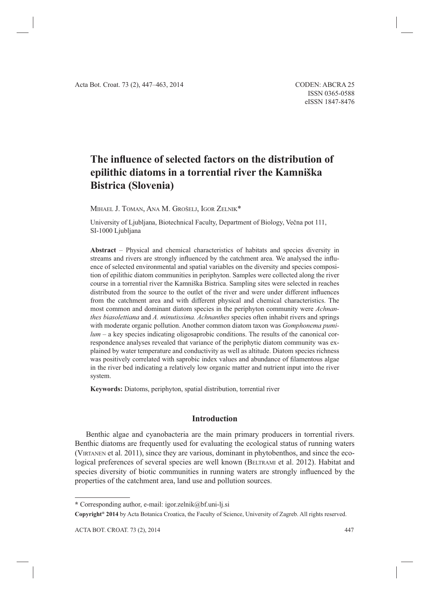# The influence of selected factors on the distribution of **epilithic diatoms in a torrential river the Kamniška Bistrica (Slovenia)**

MIHAEL J. TOMAN, ANA M. GROŠELJ, IGOR ZELNIK\*

University of Ljubljana, Biotechnical Faculty, Department of Biology, Večna pot 111, SI-1000 Ljubljana

**Abstract** – Physical and chemical characteristics of habitats and species diversity in streams and rivers are strongly influenced by the catchment area. We analysed the influence of selected environmental and spatial variables on the diversity and species composition of epilithic diatom communities in periphyton. Samples were collected along the river course in a torrential river the Kamniška Bistrica. Sampling sites were selected in reaches distributed from the source to the outlet of the river and were under different influences from the catchment area and with different physical and chemical characteristics. The most common and dominant diatom species in the periphyton community were *Achnanthes biasolettiana* and *A. minutissima. Achnanthes* species often inhabit rivers and springs with moderate organic pollution. Another common diatom taxon was *Gomphonema pumilum* – a key species indicating oligosaprobic conditions. The results of the canonical correspondence analyses revealed that variance of the periphytic diatom community was explained by water temperature and conductivity as well as altitude. Diatom species richness was positively correlated with saprobic index values and abundance of filamentous algae in the river bed indicating a relatively low organic matter and nutrient input into the river system.

**Keywords:** Diatoms, periphyton, spatial distribution, torrential river

# **Introduction**

Benthic algae and cyanobacteria are the main primary producers in torrential rivers. Benthic diatoms are frequently used for evaluating the ecological status of running waters (VIRTANEN et al. 2011), since they are various, dominant in phytobenthos, and since the ecological preferences of several species are well known (BELTRAMI et al. 2012). Habitat and species diversity of biotic communities in running waters are strongly influenced by the properties of the catchment area, land use and pollution sources.

**<sup>\*</sup>** Corresponding author, e-mail: igor.zelnik@bf.uni-lj.si

**Copyright® 2014** by Acta Botanica Croatica, the Faculty of Science, University of Zagreb. All rights reserved.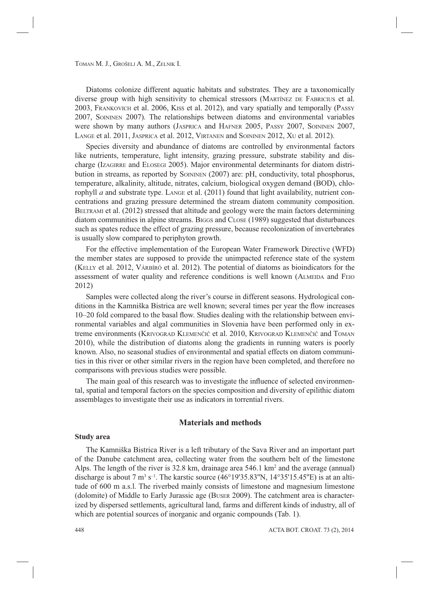Diatoms colonize different aquatic habitats and substrates. They are a taxonomically diverse group with high sensitivity to chemical stressors (MARTÍNEZ DE FABRICIUS et al. 2003, FRANKOVICH et al. 2006, KISS et al. 2012), and vary spatially and temporally (PASSY 2007, SOININEN 2007). The relationships between diatoms and environmental variables were shown by many authors (JASPRICA and HAFNER 2005, PASSY 2007, SOININEN 2007, LANGE et al. 2011, JASPRICA et al. 2012, VIRTANEN and SOININEN 2012, XU et al. 2012).

Species diversity and abundance of diatoms are controlled by environmental factors like nutrients, temperature, light intensity, grazing pressure, substrate stability and discharge (IZAGIRRE and ELOSEGI 2005). Major environmental determinants for diatom distribution in streams, as reported by SOININEN (2007) are: pH, conductivity, total phosphorus, temperature, alkalinity, altitude, nitrates, calcium, biological oxygen demand (BOD), chlorophyll *a* and substrate type. LANGE et al. (2011) found that light availability, nutrient concentrations and grazing pressure determined the stream diatom community composition. BELTRAMI et al. (2012) stressed that altitude and geology were the main factors determining diatom communities in alpine streams. BIGGS and CLOSE (1989) suggested that disturbances such as spates reduce the effect of grazing pressure, because recolonization of invertebrates is usually slow compared to periphyton growth.

For the effective implementation of the European Water Framework Directive (WFD) the member states are supposed to provide the unimpacted reference state of the system (KELLY et al. 2012, VÁRBÍRÓ et al. 2012). The potential of diatoms as bioindicators for the assessment of water quality and reference conditions is well known (ALMEIDA and FEIO 2012)

Samples were collected along the river's course in different seasons. Hydrological conditions in the Kamniška Bistrica are well known; several times per year the flow increases 10–20 fold compared to the basal flow. Studies dealing with the relationship between environmental variables and algal communities in Slovenia have been performed only in extreme environments (KRIVOGRAD KLEMENČIČ et al. 2010, KRIVOGRAD KLEMENČIČ and TOMAN 2010), while the distribution of diatoms along the gradients in running waters is poorly known. Also, no seasonal studies of environmental and spatial effects on diatom communities in this river or other similar rivers in the region have been completed, and therefore no comparisons with previous studies were possible.

The main goal of this research was to investigate the influence of selected environmental, spatial and temporal factors on the species composition and diversity of epilithic diatom assemblages to investigate their use as indicators in torrential rivers.

## **Materials and methods**

#### **Study area**

The Kamniška Bistrica River is a left tributary of the Sava River and an important part of the Danube catchment area, collecting water from the southern belt of the limestone Alps. The length of the river is  $32.8 \text{ km}$ , drainage area  $546.1 \text{ km}^2$  and the average (annual) discharge is about 7 m<sup>3</sup> s<sup>-1</sup>. The karstic source (46°19'35.83"N, 14°35'15.45"E) is at an altitude of 600 m a.s.l. The riverbed mainly consists of limestone and magnesium limestone (dolomite) of Middle to Early Jurassic age (BUSER 2009). The catchment area is characterized by dispersed settlements, agricultural land, farms and different kinds of industry, all of which are potential sources of inorganic and organic compounds (Tab. 1).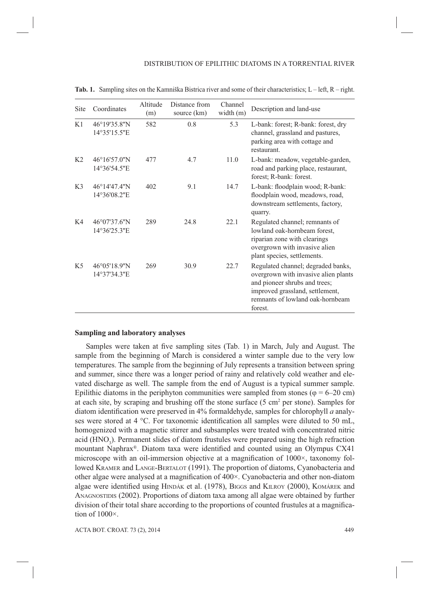| Site           | Coordinates                  | Altitude<br>(m) | Distance from<br>source (km) | Channel<br>width (m) | Description and land-use                                                                                                                                                                      |
|----------------|------------------------------|-----------------|------------------------------|----------------------|-----------------------------------------------------------------------------------------------------------------------------------------------------------------------------------------------|
| K1             | 46°19'35.8"N<br>14°35'15.5"E | 582             | 0.8                          | 5.3                  | L-bank: forest; R-bank: forest, dry<br>channel, grassland and pastures,<br>parking area with cottage and<br>restaurant.                                                                       |
| K <sub>2</sub> | 46°16'57.0"N<br>14°36'54.5"E | 477             | 4.7                          | 11.0                 | L-bank: meadow, vegetable-garden,<br>road and parking place, restaurant,<br>forest; R-bank: forest.                                                                                           |
| K <sub>3</sub> | 46°14'47.4"N<br>14°36'08.2"E | 402             | 9.1                          | 14.7                 | L-bank: floodplain wood; R-bank:<br>floodplain wood, meadows, road,<br>downstream settlements, factory,<br>quarry.                                                                            |
| K4             | 46°07'37.6"N<br>14°36'25.3"E | 289             | 24.8                         | 22.1                 | Regulated channel; remnants of<br>lowland oak-hornbeam forest,<br>riparian zone with clearings<br>overgrown with invasive alien<br>plant species, settlements.                                |
| K <sub>5</sub> | 46°05'18.9"N<br>14°37'34.3"E | 269             | 30.9                         | 22.7                 | Regulated channel; degraded banks,<br>overgrown with invasive alien plants<br>and pioneer shrubs and trees;<br>improved grassland, settlement,<br>remnants of lowland oak-hornbeam<br>forest. |

**Tab. 1.** Sampling sites on the Kamniška Bistrica river and some of their characteristics; L – left, R – right.

## **Sampling and laboratory analyses**

Samples were taken at five sampling sites (Tab. 1) in March, July and August. The sample from the beginning of March is considered a winter sample due to the very low temperatures. The sample from the beginning of July represents a transition between spring and summer, since there was a longer period of rainy and relatively cold weather and elevated discharge as well. The sample from the end of August is a typical summer sample. Epilithic diatoms in the periphyton communities were sampled from stones ( $\varphi = 6{\text -}20$  cm) at each site, by scraping and brushing off the stone surface  $(5 \text{ cm}^2 \text{ per stone})$ . Samples for diatom identification were preserved in 4% formaldehyde, samples for chlorophyll *a* analyses were stored at 4  $^{\circ}$ C. For taxonomic identification all samples were diluted to 50 mL, homogenized with a magnetic stirrer and subsamples were treated with concentrated nitric acid  $(HNO<sub>3</sub>)$ . Permanent slides of diatom frustules were prepared using the high refraction mountant Naphrax®. Diatom taxa were identified and counted using an Olympus CX41 microscope with an oil-immersion objective at a magnification of  $1000\times$ , taxonomy followed KRAMER and LANGE-BERTALOT (1991). The proportion of diatoms, Cyanobacteria and other algae were analysed at a magnification of  $400\times$ . Cyanobacteria and other non-diatom algae were identified using HINDÁK et al. (1978), BIGGS and KILROY (2000), KOMÁREK and ANAGNOSTIDIS (2002). Proportions of diatom taxa among all algae were obtained by further division of their total share according to the proportions of counted frustules at a magnification of 1000×.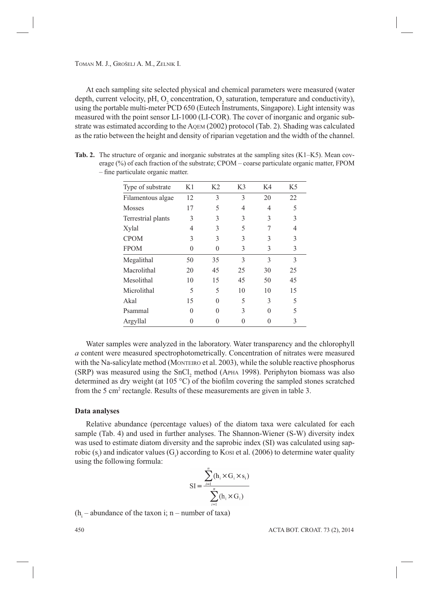At each sampling site selected physical and chemical parameters were measured (water depth, current velocity, pH,  $O_2$  concentration,  $O_2$  saturation, temperature and conductivity), using the portable multi-meter PCD 650 (Eutech Instruments, Singapore). Light intensity was measured with the point sensor LI-1000 (LI-COR). The cover of inorganic and organic substrate was estimated according to the AQEM (2002) protocol (Tab. 2). Shading was calculated as the ratio between the height and density of riparian vegetation and the width of the channel.

| Type of substrate  | K1 | K <sub>2</sub> | K <sub>3</sub> | K4           | K5 |
|--------------------|----|----------------|----------------|--------------|----|
| Filamentous algae  | 12 | 3              | 3              | 20           | 22 |
| <b>Mosses</b>      | 17 | 5              | 4              | 4            | 5  |
| Terrestrial plants | 3  | 3              | 3              | 3            | 3  |
| Xylal              | 4  | 3              | 5              |              | 4  |
| <b>CPOM</b>        | 3  | 3              | 3              | 3            | 3  |
| <b>FPOM</b>        | 0  | $\Omega$       | 3              | 3            | 3  |
| Megalithal         | 50 | 35             | 3              | 3            | 3  |
| Macrolithal        | 20 | 45             | 25             | 30           | 25 |
| Mesolithal         | 10 | 15             | 45             | 50           | 45 |
| Microlithal        | 5  | 5              | 10             | 10           | 15 |
| Akal               | 15 | O              | 5              | 3            | 5  |
| Psammal            | 0  | O              | 3              | $\mathbf{0}$ | 5  |
| Argyllal           |    |                |                |              | 3  |

**Tab. 2.** The structure of organic and inorganic substrates at the sampling sites (K1–K5). Mean coverage (%) of each fraction of the substrate; CPOM – coarse particulate organic matter, FPOM  $-$  fine particulate organic matter.

Water samples were analyzed in the laboratory. Water transparency and the chlorophyll *a* content were measured spectrophotometrically. Concentration of nitrates were measured with the Na-salicylate method (MONTEIRO et al. 2003), while the soluble reactive phosphorus  $(SRP)$  was measured using the  $SnCl<sub>2</sub>$  method (APHA 1998). Periphyton biomass was also determined as dry weight (at 105  $^{\circ}$ C) of the biofilm covering the sampled stones scratched from the 5 cm<sup>2</sup> rectangle. Results of these measurements are given in table 3.

## **Data analyses**

Relative abundance (percentage values) of the diatom taxa were calculated for each sample (Tab. 4) and used in further analyses. The Shannon-Wiener (S-W) diversity index was used to estimate diatom diversity and the saprobic index (SI) was calculated using saprobic  $(s_i)$  and indicator values  $(G_i)$  according to Kosi et al. (2006) to determine water quality using the following formula:

$$
SI = \frac{\sum_{i=1}^{n} (h_i \times G_i \times s_i)}{\sum_{i=1}^{n} (h_i \times G_i)}
$$

 $(h<sub>i</sub> - abundance of the taxon i; n-number of taxa)$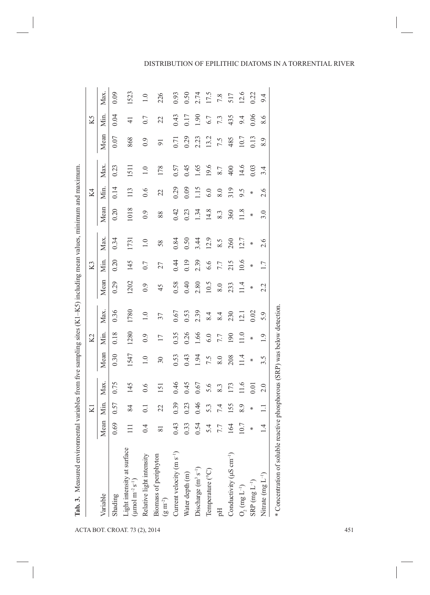| diam's main was                      |  |
|--------------------------------------|--|
|                                      |  |
|                                      |  |
| $\frac{1}{2}$                        |  |
|                                      |  |
| į                                    |  |
|                                      |  |
| $\frac{1}{2}$                        |  |
|                                      |  |
|                                      |  |
|                                      |  |
|                                      |  |
| i<br>I<br>I<br>I<br>I<br>I<br>I<br>I |  |
| $\ddot{\phantom{a}}$                 |  |
|                                      |  |
| l                                    |  |
|                                      |  |
| $\frac{1}{2}$                        |  |
|                                      |  |
| ちょうしゅう ちょうしょう                        |  |
|                                      |  |
|                                      |  |
| י<br>י<br>ĺ                          |  |

|                                                                                      | KI             |      |      |                  | Κ2               |                  |              | K3     |        |         | Κ4             |         |                   | K5            |                  |
|--------------------------------------------------------------------------------------|----------------|------|------|------------------|------------------|------------------|--------------|--------|--------|---------|----------------|---------|-------------------|---------------|------------------|
| Mean<br>Variable                                                                     | Min.           |      | Max. | Mean             | Мiп.             | Max.             | Mean         | Min.   | Max.   | Mean    | Min.           | Max.    | Mean              | Min.          | Max              |
| 0.69<br>Shading                                                                      |                | 0.57 | 0.75 | 0.30             | 0.18             | 0.36             | 0.29         | 0.20   | 0.34   | 0.20    | 0.14           | 0.23    | 0.07              | 0.04          | 0.09             |
| $\Xi$<br>Light intensity at surface<br>( $\mu$ mol m <sup>-2</sup> s <sup>-1</sup> ) |                | 84   | 145  | 1547             | 1280             | 1780             | 1202         | 145    | 1731   | 1018    | 113            | 1511    | 868               | $\frac{1}{4}$ | 1523             |
| 0.4<br>Relative light intensity                                                      | $\overline{c}$ |      | 0.6  | $\overline{1.0}$ | 0.9              | $\overline{1.0}$ | 0.9          | 0.7    | 1.0    | 0.9     | 0.6            | $1.0\,$ | 0.9               | 0.7           | $\overline{1.0}$ |
| $\overline{\infty}$<br>Biomass of periphyton $(g m^{-2})$                            |                | 22   | 151  | 30               | $\overline{17}$  | 37               | 45           | 27     | 58     | 88      | $\mathfrak{L}$ | 178     | $\overline{9}$    | 22            | 226              |
| 0.43<br>Current velocity (m s <sup>-1</sup> )                                        |                | 0.39 | 0.46 | 0.53             | 0.35             | 0.67             | 0.58         | 0.44   | 0.84   | 0.42    | 0.29           | 0.57    | $\overline{0.71}$ | 0.43          | 0.93             |
| 0.33<br>Water depth (m)                                                              |                | 0.23 | 0.45 | 0.43             | 0.26             | 0.53             | 0.40         | 0.19   | 0.50   | 0.23    | 0.09           | 0.45    | 0.29              | 0.17          | 0.50             |
| 0.54<br>Discharge (m <sup>3</sup> s <sup>-1</sup> )                                  |                | 0.46 | 0.67 | 1.94             | 1.66             | 2.39             | 2.80         | 2.39   | 3.44   | 1.34    | 1.15           | 1.65    | 2.23              | 06.1          | 2.74             |
| 5.4<br>Temperature (°C)                                                              |                | 5.3  | 5.6  | 7.5              | $6.0\,$          | 8.4              | 10.5         | 6.6    | 12.9   | 14.8    | 6.0            | 19.6    | 13.2              | $6.7$         | 17.5             |
| $7.7\,$<br>짐                                                                         |                | 7.4  | 8.3  | 8.0              | 7.7              | 8.4              | $\,8.0$      | 7.7    | 8.5    | $8.3\,$ | 8.0            | $8.7\,$ | 7.5               | 7.3           | $7.8\,$          |
| 164<br>Conductivity ( $\mu$ S cm <sup>-1</sup> )                                     |                | 155  | 173  | 208              | $\overline{190}$ | 230              | 233          | 215    | 260    | 360     | 319            | 400     | 485               | 435           | 517              |
| 10.7<br>$\mathrm{O}_2$ (mg $\mathrm{L}^{-1})$                                        |                | 8.9  | 11.6 | 11.4             | 11.0             | $\overline{21}$  | 11.4         | 10.6   | 12.7   | 11.8    | 9.5            | 14.6    | 10.7              | 9.4           | 12.6             |
| $\ast$<br>$\mathrm{SRP}\,(\mathrm{mg}\,\mathrm{L}^{-1})$                             | ∗              |      | 0.01 | $\ast$           | $\ast$           | 0.02             | $\ast$       | $\ast$ | $\ast$ | $\ast$  | ∗              | 0.03    |                   | 0.06          | 0.22             |
| $\overline{1}$<br>Nitrate $(mg L^{-1})$                                              | $\Xi$          |      | 2.0  | $3.\overline{5}$ | 1.9              | 5.9              | Ċ,<br>$\sim$ | 1.7    | 2.6    | 3.0     | ڢ<br>$\sim$    | 3.4     | 8.9               | 8.6           | 9.4              |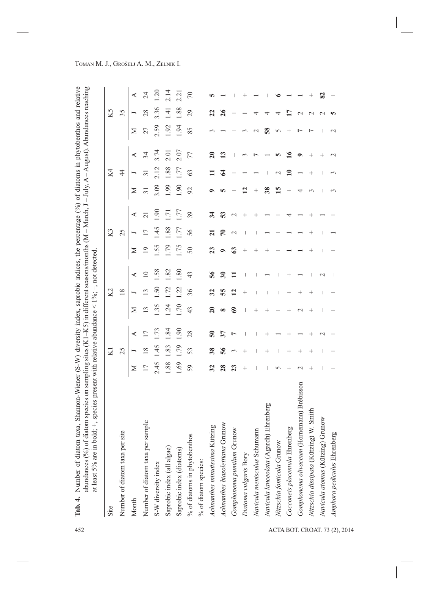| Site                                       |                  | KI     |                          |                 | Κ2              |                          |                | К3              |                   |              | Κ4              |                |               | K5              |                       |
|--------------------------------------------|------------------|--------|--------------------------|-----------------|-----------------|--------------------------|----------------|-----------------|-------------------|--------------|-----------------|----------------|---------------|-----------------|-----------------------|
| Number of diatom taxa per site             |                  | 25     |                          |                 | $\frac{8}{2}$   |                          |                | 25              |                   |              | 4               |                |               | 35              |                       |
| Month                                      | Z                |        | ≺                        | ⋝               | ⊢               | ≺                        | ⊠              | ⊢               | ⋖                 | Σ            | ∽               | ⋖              | ⋝             |                 | ≺                     |
| Number of diatom taxa per sample           | $\overline{17}$  | 18     | $\overline{17}$          | $\overline{13}$ | $\mathbf{1}3$   | $\overline{10}$          |                | $\overline{17}$ | $\overline{c}$    | ಸ            | $\overline{31}$ | 34             | 27            | 28              | $\overline{24}$       |
| S-W diversity index                        | 2.45             | $-45$  | 1.73                     | 1.35            | 1.50            | 1.58                     | .55            | 1.45            | 1.90              | 3.09         | 2.12            | 3.74           | 2.59          | 3.36            | 1.20                  |
| Saprobic index (all algae)                 | 1.88             | 1.83   | 1.84                     | 1.24            | 1.72            | 1.82                     | 62             | 1.88            | $\overline{1.71}$ | 1.99         | 1.88            | 2.01           | 1.92          | $\overline{14}$ | 2.14                  |
| Saprobic index (diatoms)                   | 1.69             | 1.79   | 1.90                     | 1.70            | <u>S</u>        | 1.80                     | <b>1.75</b>    | 1.77            | 1.77              | 1.90         | 1.77            | 2.07           | 1.94          | 1.88            | 2.21                  |
| % of diatoms in phytobenthos               | 59               | 53     | 28                       | 43              | 36              | 43                       | 50             | 56              | 39                | 92           | 63              | 77             | 85            | 29              | $\sqrt{2}$            |
| % of diatom species:                       |                  |        |                          |                 |                 |                          |                |                 |                   |              |                 |                |               |                 |                       |
| ā<br>Achnanthes minutissima Kützir         | 32               | 38     | ິຈິ                      | $\mathbf{S}$    | 32              | 56                       | $\mathbf{z}$   | ត               | 34                | ๑            |                 | ສ              | $\sim$        | $\mathbf{z}$    |                       |
| Achnanthes biasolettiana Grunow            | 28               | 56     | $\overline{\mathbf{37}}$ | ∞               | 55              | $\overline{\mathbf{30}}$ | ۰              | $\mathcal{F}$   | 53                | m            | ℥               |                |               | 26              |                       |
| Gomphonema pumilum Grunow                  | 23               | 3      | $\overline{ }$           | ಠಿ              | $\overline{12}$ | ゠                        | $\mathbb{S}^3$ | $\mathbf 2$     | $\mathbf 2$       | ┿            | $^+$            |                | $^+$          | +               |                       |
| Diatoma vulgaris Bory                      | $^+$             | $^+$   |                          | J               | $^+$            |                          | $^+$           | ı               | ┿                 | $\mathbf{r}$ |                 | 3              | 3             |                 |                       |
| Navicula menisculus Schumann               |                  |        |                          | $^+$            |                 |                          | $^+$           | ı               | $^+$              | $^+$         |                 | $\overline{ }$ | $\mathcal{L}$ | 4               |                       |
| Ehrenberg<br>Navicula lanceolata (Agardh)  | ı                | $^{+}$ | $^+$                     | $^+$            | ı               |                          | $^{+}$         |                 |                   | 38           |                 |                | 58            | 4               |                       |
| Nitzschia fonticola Grunow                 | 5                | J      |                          | $^{+}$          |                 |                          | $^+$           | $^+$            | $^+$              | 15           | $\mathcal{C}$   | m              | 5             | 4               | ७                     |
| Cocconeis placentula Ehrenberg             | $^+$             | $^+$   | $^+$                     | $^{+}$          | $^+$            | $^+$                     |                |                 | 4                 | $^+$         | ≘               | ⊵              | $^+$          | Ξ               |                       |
| Gomphonema olivaceum (Hornemann) Brébisson | $\mathrel{\sim}$ | $^{+}$ |                          | $\mathcal{C}$   | $^{+}$          |                          |                |                 |                   | 4            |                 | $\bullet$      | L             | $\mathcal{L}$   |                       |
| Nitzschia dissipata (Kützing) W. Smith     | $^+$             | $^+$   | $^+$                     | $^+$            | $^+$            |                          | $^+$           | $^+$            | $^+$              | ç            | $^+$            | $^+$           | Ļ             | $\mathcal{L}$   | $\hspace{0.1mm} +$    |
| Navicula atomus (Kützing) Grunow           | I                | ı      | $\mathbf 2$              | ı               | ı               | $\mathbf 2$              |                | I               |                   | ı            | I               | $^+$           | ш             | $\sim$          | $\boldsymbol{\Omega}$ |
| Amphora pediculus Ehrenberg                | $^{+}$           | $^{+}$ | $^{+}$                   | $^{+}$          | $^{+}$          | J.                       | $^{+}$         |                 | $^{+}$            | 3            | 3               | $\mathcal{L}$  | $\mathcal{L}$ | m               | $^{+}$                |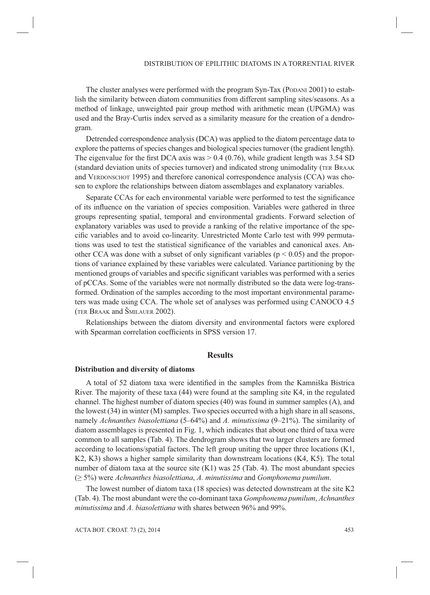The cluster analyses were performed with the program Syn-Tax (PODANI 2001) to establish the similarity between diatom communities from different sampling sites/seasons. As a method of linkage, unweighted pair group method with arithmetic mean (UPGMA) was used and the Bray-Curtis index served as a similarity measure for the creation of a dendrogram.

Detrended correspondence analysis (DCA) was applied to the diatom percentage data to explore the patterns of species changes and biological species turnover (the gradient length). The eigenvalue for the first DCA axis was  $> 0.4$  (0.76), while gradient length was 3.54 SD (standard deviation units of species turnover) and indicated strong unimodality (TER BRAAK and VERDONSCHOT 1995) and therefore canonical correspondence analysis (CCA) was chosen to explore the relationships between diatom assemblages and explanatory variables.

Separate CCAs for each environmental variable were performed to test the significance of its infl uence on the variation of species composition. Variables were gathered in three groups representing spatial, temporal and environmental gradients. Forward selection of explanatory variables was used to provide a ranking of the relative importance of the specific variables and to avoid co-linearity. Unrestricted Monte Carlo test with 999 permutations was used to test the statistical significance of the variables and canonical axes. Another CCA was done with a subset of only significant variables ( $p < 0.05$ ) and the proportions of variance explained by these variables were calculated. Variance partitioning by the mentioned groups of variables and specific significant variables was performed with a series of pCCAs. Some of the variables were not normally distributed so the data were log-transformed. Ordination of the samples according to the most important environmental parameters was made using CCA. The whole set of analyses was performed using CANOCO 4.5 (TER BRAAK and ŠMILAUER 2002).

Relationships between the diatom diversity and environmental factors were explored with Spearman correlation coefficients in SPSS version 17.

## **Results**

#### **Distribution and diversity of diatoms**

A total of 52 diatom taxa were identified in the samples from the Kamniška Bistrica River. The majority of these taxa (44) were found at the sampling site K4, in the regulated channel. The highest number of diatom species (40) was found in summer samples (A), and the lowest (34) in winter (M) samples. Two species occurred with a high share in all seasons, namely *Achnanthes biasolettiana* (5–64%) and *A. minutissima* (9–21%). The similarity of diatom assemblages is presented in Fig. 1, which indicates that about one third of taxa were common to all samples (Tab. 4). The dendrogram shows that two larger clusters are formed according to locations/spatial factors. The left group uniting the upper three locations (K1, K2, K3) shows a higher sample similarity than downstream locations (K4, K5). The total number of diatom taxa at the source site (K1) was 25 (Tab. 4). The most abundant species (≥ 5%) were *Achnanthes biasolettiana*, *A. minutissima* and *Gomphonema pumilum*.

The lowest number of diatom taxa (18 species) was detected downstream at the site K2 (Tab. 4). The most abundant were the co-dominant taxa *Gomphonema pumilum*, *Achnanthes minutissima* and *A. biasolettiana* with shares between 96% and 99%.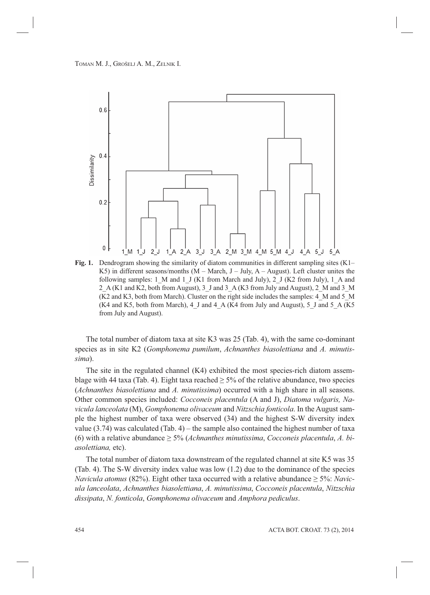

**Fig. 1.** Dendrogram showing the similarity of diatom communities in different sampling sites (K1– K5) in different seasons/months  $(M - March, J - July, A - August)$ . Left cluster unites the following samples: 1\_M and 1\_J (K1 from March and July), 2\_J (K2 from July), 1\_A and 2\_A (K1 and K2, both from August), 3\_J and 3\_A (K3 from July and August), 2\_M and 3\_M (K2 and K3, both from March). Cluster on the right side includes the samples: 4\_M and 5\_M (K4 and K5, both from March), 4\_J and 4\_A (K4 from July and August), 5\_J and 5\_A (K5) from July and August).

The total number of diatom taxa at site K3 was 25 (Tab. 4), with the same co-dominant species as in site K2 (*Gomphonema pumilum*, *Achnanthes biasolettiana* and *A. minutissima*).

The site in the regulated channel (K4) exhibited the most species-rich diatom assemblage with 44 taxa (Tab. 4). Eight taxa reached  $\geq$  5% of the relative abundance, two species (*Achnanthes biasolettiana* and *A. minutissima*) occurred with a high share in all seasons. Other common species included: *Cocconeis placentula* (A and J), *Diatoma vulgaris, Navicula lanceolata* (M), *Gomphonema olivaceum* and *Nitzschia fonticola*. In the August sample the highest number of taxa were observed (34) and the highest S-W diversity index value  $(3.74)$  was calculated  $(Tab. 4)$  – the sample also contained the highest number of taxa (6) with a relative abundance  $\geq$  5% (*Achnanthes minutissima, Cocconeis placentula, A. biasolettiana,* etc).

The total number of diatom taxa downstream of the regulated channel at site K5 was 35 (Tab. 4). The S-W diversity index value was low (1.2) due to the dominance of the species *Navicula atomus* (82%). Eight other taxa occurred with a relative abundance ≥ 5%: *Navicula lanceolata*, *Achnanthes biasolettiana*, *A. minutissima*, *Cocconeis placentula*, *Nitzschia dissipata*, *N. fonticola*, *Gomphonema olivaceum* and *Amphora pediculus*.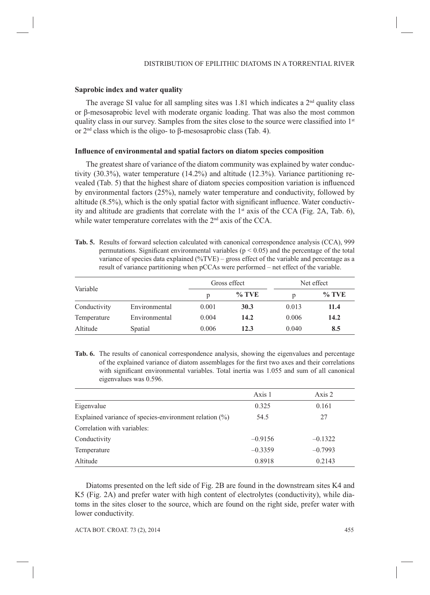## **Saprobic index and water quality**

The average SI value for all sampling sites was 1.81 which indicates a  $2<sup>nd</sup>$  quality class or β-mesosaprobic level with moderate organic loading. That was also the most common quality class in our survey. Samples from the sites close to the source were classified into  $1<sup>st</sup>$ or 2nd class which is the oligo- to β-mesosaprobic class (Tab. 4).

## **Influence of environmental and spatial factors on diatom species composition**

The greatest share of variance of the diatom community was explained by water conductivity (30.3%), water temperature (14.2%) and altitude (12.3%). Variance partitioning revealed (Tab. 5) that the highest share of diatom species composition variation is influenced by environmental factors (25%), namely water temperature and conductivity, followed by altitude  $(8.5\%)$ , which is the only spatial factor with significant influence. Water conductivity and altitude are gradients that correlate with the  $1<sup>st</sup>$  axis of the CCA (Fig. 2A, Tab. 6), while water temperature correlates with the 2<sup>nd</sup> axis of the CCA.

**Tab. 5.** Results of forward selection calculated with canonical correspondence analysis (CCA), 999 permutations. Significant environmental variables ( $p < 0.05$ ) and the percentage of the total variance of species data explained (%TVE) – gross effect of the variable and percentage as a result of variance partitioning when pCCAs were performed – net effect of the variable.

|              |               |       | Gross effect |       | Net effect |
|--------------|---------------|-------|--------------|-------|------------|
| Variable     |               | p     | $\%$ TVE     |       | $\%$ TVE   |
| Conductivity | Environmental | 0.001 | 30.3         | 0.013 | 11.4       |
| Temperature  | Environmental | 0.004 | 14.2         | 0.006 | 14.2       |
| Altitude     | Spatial       | 0.006 | 12.3         | 0.040 | 8.5        |

**Tab. 6.** The results of canonical correspondence analysis, showing the eigenvalues and percentage of the explained variance of diatom assemblages for the first two axes and their correlations with significant environmental variables. Total inertia was 1.055 and sum of all canonical eigenvalues was 0.596.

|                                                        | Axis 1    | Axis 2    |
|--------------------------------------------------------|-----------|-----------|
| Eigenvalue                                             | 0.325     | 0.161     |
| Explained variance of species-environment relation (%) | 54.5      | 27        |
| Correlation with variables:                            |           |           |
| Conductivity                                           | $-0.9156$ | $-0.1322$ |
| Temperature                                            | $-0.3359$ | $-0.7993$ |
| Altitude                                               | 0.8918    | 0.2143    |

Diatoms presented on the left side of Fig. 2B are found in the downstream sites K4 and K5 (Fig. 2A) and prefer water with high content of electrolytes (conductivity), while diatoms in the sites closer to the source, which are found on the right side, prefer water with lower conductivity.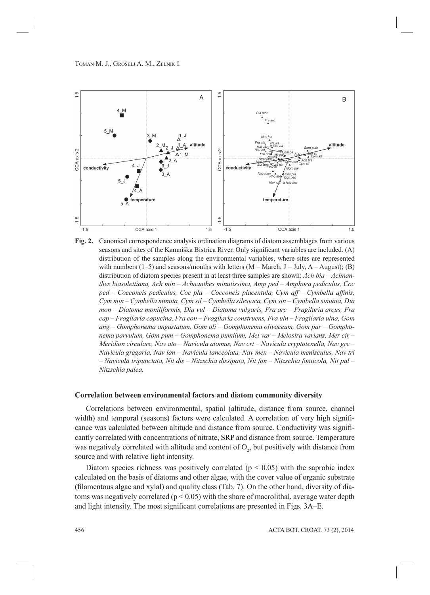

**Fig. 2.** Canonical correspondence analysis ordination diagrams of diatom assemblages from various seasons and sites of the Kamniška Bistrica River. Only significant variables are included. (A) distribution of the samples along the environmental variables, where sites are represented with numbers  $(1-5)$  and seasons/months with letters  $(M - March, J - July, A - August)$ ; (B) distribution of diatom species present in at least three samples are shown: *Ach bia – Achnanthes biasolettiana, Ach min – Achnanthes minutissima, Amp ped – Amphora pediculus, Coc ped – Cocconeis pediculus, Coc pla – Cocconeis placentula, Cym aff – Cymbella affinis, Cym min – Cymbella minuta, Cym sil – Cymbella silesiaca, Cym sin – Cymbella sinuata, Dia mon – Diatoma moniliformis, Dia vul – Diatoma vulgaris, Fra arc – Fragilaria arcus, Fra cap – Fragilaria capucina, Fra con – Fragilaria construens, Fra uln – Fragilaria ulna, Gom ang – Gomphonema angustatum, Gom oli – Gomphonema olivaceum, Gom par – Gomphonema parvulum, Gom pum – Gomphonema pumilum, Mel var – Melosira varians, Mer cir – Meridion circulare, Nav ato – Navicula atomus, Nav crt – Navicula cryptotenella, Nav gre – Navicula gregaria, Nav lan – Navicula lanceolata, Nav men – Navicula menisculus, Nav tri – Navicula tripunctata, Nit dis – Nitzschia dissipata, Nit fon – Nitzschia fonticola, Nit pal – Nitzschia palea.*

### **Correlation between environmental factors and diatom community diversity**

Correlations between environmental, spatial (altitude, distance from source, channel width) and temporal (seasons) factors were calculated. A correlation of very high significance was calculated between altitude and distance from source. Conductivity was significantly correlated with concentrations of nitrate, SRP and distance from source. Temperature was negatively correlated with altitude and content of  $O_2$ , but positively with distance from source and with relative light intensity.

Diatom species richness was positively correlated ( $p < 0.05$ ) with the saprobic index calculated on the basis of diatoms and other algae, with the cover value of organic substrate (filamentous algae and xylal) and quality class (Tab. 7). On the other hand, diversity of diatoms was negatively correlated ( $p < 0.05$ ) with the share of macrolithal, average water depth and light intensity. The most significant correlations are presented in Figs. 3A–E.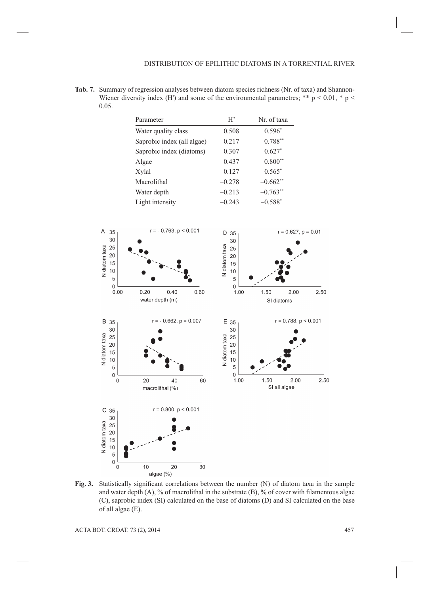**Tab. 7.** Summary of regression analyses between diatom species richness (Nr. of taxa) and Shannon-Wiener diversity index (H') and some of the environmental parametres; \*\*  $p < 0.01$ , \*  $p <$ 0.05.

| Parameter                  | H'       | Nr. of taxa |
|----------------------------|----------|-------------|
| Water quality class        | 0.508    | $0.596*$    |
| Saprobic index (all algae) | 0.217    | $0.788**$   |
| Saprobic index (diatoms)   | 0.307    | $0.627*$    |
| Algae                      | 0.437    | $0.800**$   |
| Xylal                      | 0.127    | $0.565*$    |
| Macrolithal                | $-0.278$ | $-0.662**$  |
| Water depth                | $-0.213$ | $-0.763**$  |
| Light intensity            | $-0.243$ | $-0.588*$   |



Fig. 3. Statistically significant correlations between the number (N) of diatom taxa in the sample and water depth  $(A)$ , % of macrolithal in the substrate  $(B)$ , % of cover with filamentous algae (C), saprobic index (SI) calculated on the base of diatoms (D) and SI calculated on the base of all algae (E).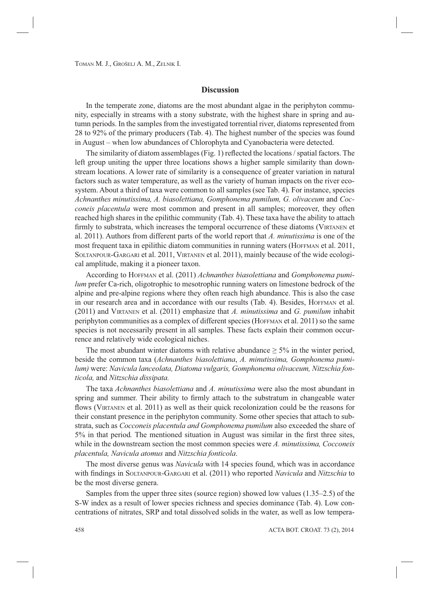## **Discussion**

In the temperate zone, diatoms are the most abundant algae in the periphyton community, especially in streams with a stony substrate, with the highest share in spring and autumn periods. In the samples from the investigated torrential river, diatoms represented from 28 to 92% of the primary producers (Tab. 4). The highest number of the species was found in August – when low abundances of Chlorophyta and Cyanobacteria were detected.

The similarity of diatom assemblages (Fig. 1) reflected the locations  $\frac{1}{1}$  spatial factors. The left group uniting the upper three locations shows a higher sample similarity than downstream locations. A lower rate of similarity is a consequence of greater variation in natural factors such as water temperature, as well as the variety of human impacts on the river ecosystem. About a third of taxa were common to all samples (see Tab. 4). For instance, species *Achnanthes minutissima, A. biasolettiana, Gomphonema pumilum, G. olivaceum* and *Cocconeis placentula* were most common and present in all samples; moreover, they often reached high shares in the epilithic community (Tab. 4). These taxa have the ability to attach firmly to substrata, which increases the temporal occurrence of these diatoms (VIRTANEN et al. 2011). Authors from different parts of the world report that *A. minutissima* is one of the most frequent taxa in epilithic diatom communities in running waters (HOFFMAN et al. 2011, SOLTANPOUR-GARGARI et al. 2011, VIRTANEN et al. 2011), mainly because of the wide ecological amplitude, making it a pioneer taxon.

According to HOFFMAN et al. (2011) *Achnanthes biasolettiana* and *Gomphonema pumilum* prefer Ca-rich, oligotrophic to mesotrophic running waters on limestone bedrock of the alpine and pre-alpine regions where they often reach high abundance. This is also the case in our research area and in accordance with our results (Tab. 4). Besides, HOFFMAN et al. (2011) and VIRTANEN et al. (2011) emphasize that *A. minutissima* and *G. pumilum* inhabit periphyton communities as a complex of different species (HOFFMAN et al. 2011) so the same species is not necessarily present in all samples. These facts explain their common occurrence and relatively wide ecological niches.

The most abundant winter diatoms with relative abundance  $\geq$  5% in the winter period, beside the common taxa (*Achnanthes biasolettiana*, *A. minutissima, Gomphonema pumilum)* were: *Navicula lanceolata, Diatoma vulgaris, Gomphonema olivaceum, Nitzschia fonticola,* and *Nitzschia dissipata.*

The taxa *Achnanthes biasolettiana* and *A. minutissima* were also the most abundant in spring and summer. Their ability to firmly attach to the substratum in changeable water flows (VIRTANEN et al. 2011) as well as their quick recolonization could be the reasons for their constant presence in the periphyton community. Some other species that attach to substrata, such as *Cocconeis placentula and Gomphonema pumilum* also exceeded the share of 5% in that period. The mentioned situation in August was similar in the first three sites, while in the downstream section the most common species were *A. minutissima, Cocconeis placentula, Navicula atomus* and *Nitzschia fonticola*.

The most diverse genus was *Navicula* with 14 species found, which was in accordance with findings in SOLTANPOUR-GARGARI et al. (2011) who reported *Navicula* and *Nitzschia* to be the most diverse genera.

Samples from the upper three sites (source region) showed low values (1.35–2.5) of the S-W index as a result of lower species richness and species dominance (Tab. 4). Low concentrations of nitrates, SRP and total dissolved solids in the water, as well as low tempera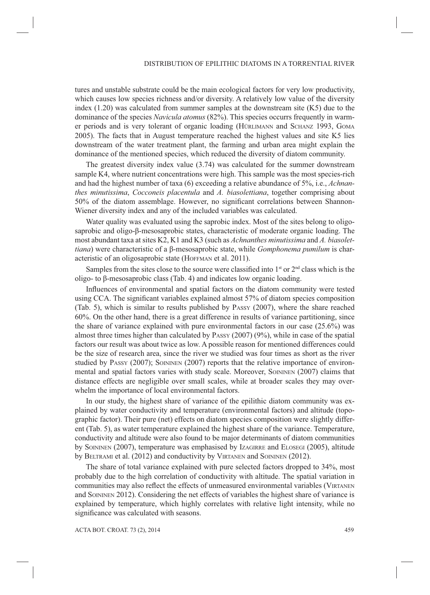tures and unstable substrate could be the main ecological factors for very low productivity, which causes low species richness and/or diversity. A relatively low value of the diversity index (1.20) was calculated from summer samples at the downstream site (K5) due to the dominance of the species *Navicula atomus* (82%). This species occurrs frequently in warmer periods and is very tolerant of organic loading (HÜRLIMANN and SCHANZ 1993, GOMA 2005). The facts that in August temperature reached the highest values and site K5 lies downstream of the water treatment plant, the farming and urban area might explain the dominance of the mentioned species, which reduced the diversity of diatom community.

The greatest diversity index value (3.74) was calculated for the summer downstream sample K4, where nutrient concentrations were high. This sample was the most species-rich and had the highest number of taxa (6) exceeding a relative abundance of 5%, i.e., *Achnanthes minutissima*, *Cocconeis placentula* and *A. biasolettiana*, together comprising about 50% of the diatom assemblage. However, no significant correlations between Shannon-Wiener diversity index and any of the included variables was calculated.

Water quality was evaluated using the saprobic index. Most of the sites belong to oligosaprobic and oligo-β-mesosaprobic states, characteristic of moderate organic loading. The most abundant taxa at sites K2, K1 and K3 (such as *Achnanthes minutissima* and *A. biasolettiana*) were characteristic of a β-mesosaprobic state, while *Gomphonema pumilum* is characteristic of an oligosaprobic state (HOFFMAN et al. 2011).

Samples from the sites close to the source were classified into  $1<sup>st</sup>$  or  $2<sup>nd</sup>$  class which is the oligo- to β-mesosaprobic class (Tab. 4) and indicates low organic loading.

Influences of environmental and spatial factors on the diatom community were tested using CCA. The significant variables explained almost 57% of diatom species composition (Tab. 5), which is similar to results published by PASSY (2007), where the share reached 60%. On the other hand, there is a great difference in results of variance partitioning, since the share of variance explained with pure environmental factors in our case (25.6%) was almost three times higher than calculated by PASSY (2007) (9%), while in case of the spatial factors our result was about twice as low. A possible reason for mentioned differences could be the size of research area, since the river we studied was four times as short as the river studied by PASSY (2007); SOININEN (2007) reports that the relative importance of environmental and spatial factors varies with study scale. Moreover, SOININEN (2007) claims that distance effects are negligible over small scales, while at broader scales they may overwhelm the importance of local environmental factors.

In our study, the highest share of variance of the epilithic diatom community was explained by water conductivity and temperature (environmental factors) and altitude (topographic factor). Their pure (net) effects on diatom species composition were slightly different (Tab. 5), as water temperature explained the highest share of the variance. Temperature, conductivity and altitude were also found to be major determinants of diatom communities by SOININEN (2007), temperature was emphasised by IzAGIRRE and ELOSEGI (2005), altitude by BELTRAMI et al. (2012) and conductivity by VIRTANEN and SOININEN (2012).

The share of total variance explained with pure selected factors dropped to 34%, most probably due to the high correlation of conductivity with altitude. The spatial variation in communities may also reflect the effects of unmeasured environmental variables (VIRTANEN and SOININEN 2012). Considering the net effects of variables the highest share of variance is explained by temperature, which highly correlates with relative light intensity, while no significance was calculated with seasons.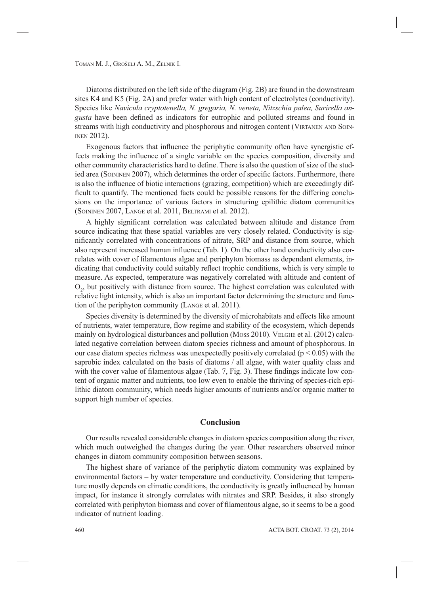Diatoms distributed on the left side of the diagram (Fig. 2B) are found in the downstream sites K4 and K5 (Fig. 2A) and prefer water with high content of electrolytes (conductivity). Species like *Navicula cryptotenella, N. gregaria, N. veneta, Nitzschia palea, Surirella angusta* have been defined as indicators for eutrophic and polluted streams and found in streams with high conductivity and phosphorous and nitrogen content (VIRTANEN AND SOIN-INEN 2012).

Exogenous factors that influence the periphytic community often have synergistic effects making the influence of a single variable on the species composition, diversity and other community characteristics hard to define. There is also the question of size of the studied area (SOININEN 2007), which determines the order of specific factors. Furthermore, there is also the influence of biotic interactions (grazing, competition) which are exceedingly difficult to quantify. The mentioned facts could be possible reasons for the differing conclusions on the importance of various factors in structuring epilithic diatom communities (SOININEN 2007, LANGE et al. 2011, BELTRAMI et al. 2012).

A highly significant correlation was calculated between altitude and distance from source indicating that these spatial variables are very closely related. Conductivity is significantly correlated with concentrations of nitrate, SRP and distance from source, which also represent increased human influence (Tab. 1). On the other hand conductivity also correlates with cover of filamentous algae and periphyton biomass as dependant elements, indicating that conductivity could suitably reflect trophic conditions, which is very simple to measure. As expected, temperature was negatively correlated with altitude and content of  $O<sub>2</sub>$ , but positively with distance from source. The highest correlation was calculated with relative light intensity, which is also an important factor determining the structure and function of the periphyton community (LANGE et al. 2011).

Species diversity is determined by the diversity of microhabitats and effects like amount of nutrients, water temperature, flow regime and stability of the ecosystem, which depends mainly on hydrological disturbances and pollution (MOSS 2010). VELGHE et al. (2012) calculated negative correlation between diatom species richness and amount of phosphorous. In our case diatom species richness was unexpectedly positively correlated ( $p < 0.05$ ) with the saprobic index calculated on the basis of diatoms / all algae, with water quality class and with the cover value of filamentous algae (Tab.  $7$ , Fig. 3). These findings indicate low content of organic matter and nutrients, too low even to enable the thriving of species-rich epilithic diatom community, which needs higher amounts of nutrients and/or organic matter to support high number of species.

### **Conclusion**

Our results revealed considerable changes in diatom species composition along the river, which much outweighed the changes during the year. Other researchers observed minor changes in diatom community composition between seasons.

The highest share of variance of the periphytic diatom community was explained by environmental factors – by water temperature and conductivity. Considering that temperature mostly depends on climatic conditions, the conductivity is greatly influenced by human impact, for instance it strongly correlates with nitrates and SRP. Besides, it also strongly correlated with periphyton biomass and cover of filamentous algae, so it seems to be a good indicator of nutrient loading.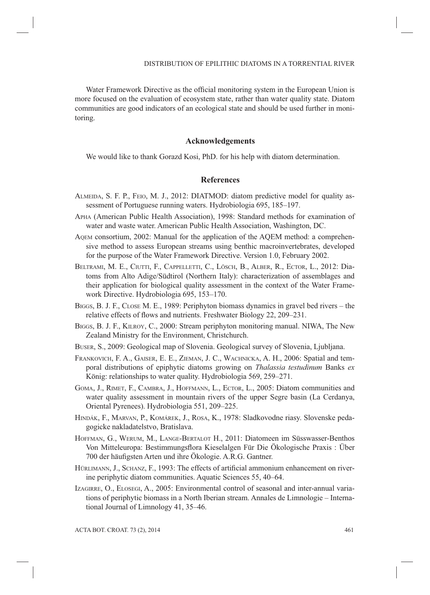Water Framework Directive as the official monitoring system in the European Union is more focused on the evaluation of ecosystem state, rather than water quality state. Diatom communities are good indicators of an ecological state and should be used further in monitoring.

# **Acknowledgements**

We would like to thank Gorazd Kosi, PhD. for his help with diatom determination.

## **References**

- ALMEIDA, S. F. P., FEIO, M. J., 2012: DIATMOD: diatom predictive model for quality assessment of Portuguese running waters. Hydrobiologia 695, 185–197.
- APHA (American Public Health Association), 1998: Standard methods for examination of water and waste water. American Public Health Association, Washington, DC.
- AQEM consortium, 2002: Manual for the application of the AQEM method: a comprehensive method to assess European streams using benthic macroinvertebrates, developed for the purpose of the Water Framework Directive. Version 1.0, February 2002.
- BELTRAMI, M. E., CIUTTI, F., CAPPELLETTI, C., LÖSCH, B., ALBER, R., ECTOR, L., 2012: Diatoms from Alto Adige/Südtirol (Northern Italy): characterization of assemblages and their application for biological quality assessment in the context of the Water Framework Directive. Hydrobiologia 695, 153–170.
- BIGGS, B. J. F., CLOSE M. E., 1989: Periphyton biomass dynamics in gravel bed rivers the relative effects of flows and nutrients. Freshwater Biology 22, 209–231.
- BIGGS, B. J. F., KILROY, C., 2000: Stream periphyton monitoring manual. NIWA, The New Zealand Ministry for the Environment, Christchurch.
- BUSER, S., 2009: Geological map of Slovenia. Geological survey of Slovenia, Ljubljana.
- FRANKOVICH, F. A., GAISER, E. E., ZIEMAN, J. C., WACHNICKA, A. H., 2006: Spatial and temporal distributions of epiphytic diatoms growing on *Thalassia testudinum* Banks *ex* König: relationships to water quality. Hydrobiologia 569, 259–271.
- GOMA, J., RIMET, F., CAMBRA, J., HOFFMANN, L., ECTOR, L., 2005: Diatom communities and water quality assessment in mountain rivers of the upper Segre basin (La Cerdanya, Oriental Pyrenees). Hydrobiologia 551, 209–225.
- HINDÁK, F., MARVAN, P., KOMÁREK, J., ROSA, K., 1978: Sladkovodne riasy. Slovenske pedagogicke nakladatelstvo, Bratislava.
- HOFFMAN, G., WERUM, M., LANGE-BERTALOT H., 2011: Diatomeen im Süsswasser-Benthos Von Mitteleuropa: Bestimmungsflora Kieselalgen Für Die Ökologische Praxis : Über 700 der häufigsten Arten und ihre Ökologie. A.R.G. Gantner.
- HÜRLIMANN, J., SCHANZ, F., 1993: The effects of artificial ammonium enhancement on riverine periphytic diatom communities. Aquatic Sciences 55, 40–64.
- IZAGIRRE, O., ELOSEGI, A., 2005: Environmental control of seasonal and inter-annual variations of periphytic biomass in a North Iberian stream. Annales de Limnologie – International Journal of Limnology 41, 35–46.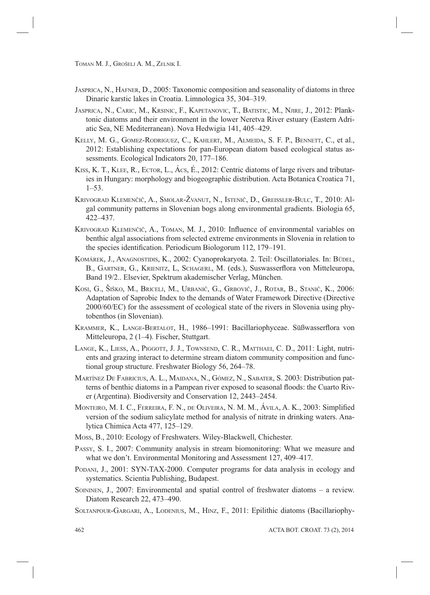- JASPRICA, N., HAFNER, D., 2005: Taxonomic composition and seasonality of diatoms in three Dinaric karstic lakes in Croatia. Limnologica 35, 304–319.
- JASPRICA, N., CARIC, M., KRSINIC, F., KAPETANOVIC, T., BATISTIC, M., NJIRE, J., 2012: Planktonic diatoms and their environment in the lower Neretva River estuary (Eastern Adriatic Sea, NE Mediterranean). Nova Hedwigia 141, 405–429.
- KELLY, M. G., GOMEZ-RODRIGUEZ, C., KAHLERT, M., ALMEIDA, S. F. P., BENNETT, C., et al., 2012: Establishing expectations for pan-European diatom based ecological status assessments. Ecological Indicators 20, 177–186.
- KISS, K. T., KLEE, R., ECTOR, L., ÁCS, É., 2012: Centric diatoms of large rivers and tributaries in Hungary: morphology and biogeographic distribution. Acta Botanica Croatica 71,  $1 - 53$ .
- KRIVOGRAD KLEMENČIČ, A., SMOLAR-ŽVANUT, N., ISTENIČ, D., GREISSLER-BULC, T., 2010: Algal community patterns in Slovenian bogs along environmental gradients. Biologia 65, 422–437.
- KRIVOGRAD KLEMENČIČ, A., TOMAN, M. J., 2010: Influence of environmental variables on benthic algal associations from selected extreme environments in Slovenia in relation to the species identification. Periodicum Biologorum 112, 179-191.
- KOMÁREK, J., ANAGNOSTIDIS, K., 2002: Cyanoprokaryota. 2. Teil: Oscillatoriales. In: BÜDEL, B., GARTNER, G., KRIENITZ, L, SCHAGERL, M. (eds.), Suswasserflora von Mitteleuropa, Band 19/2.. Elsevier, Spektrum akademischer Verlag, München.
- KOSI, G., ŠIŠKO, M., BRICELJ, M., URBANIČ, G., GRBOVIČ, J., ROTAR, B., STANIČ, K., 2006: Adaptation of Saprobic Index to the demands of Water Framework Directive (Directive 2000/60/EC) for the assessment of ecological state of the rivers in Slovenia using phytobenthos (in Slovenian).
- KRAMMER, K., LANGE-BERTALOT, H., 1986-1991: Bacillariophyceae. Süßwasserflora von Mitteleuropa, 2 (1–4). Fischer, Stuttgart.
- LANGE, K., LIESS, A., PIGGOTT, J. J., TOWNSEND, C. R., MATTHAEI, C. D., 2011: Light, nutrients and grazing interact to determine stream diatom community composition and functional group structure. Freshwater Biology 56, 264–78.
- MARTÍNEZ DE FABRICIUS, A. L., MAIDANA, N., GÓMEZ, N., SABATER, S. 2003: Distribution patterns of benthic diatoms in a Pampean river exposed to seasonal floods: the Cuarto River (Argentina). Biodiversity and Conservation 12, 2443–2454.
- MONTEIRO, M. I. C., FERREIRA, F. N., DE OLIVEIRA, N. M. M., ÁVILA, A. K., 2003: Simplified version of the sodium salicylate method for analysis of nitrate in drinking waters. Analytica Chimica Acta 477, 125–129.
- MOSS, B., 2010: Ecology of Freshwaters. Wiley-Blackwell, Chichester.
- PASSY, S. I., 2007: Community analysis in stream biomonitoring: What we measure and what we don't. Environmental Monitoring and Assessment 127, 409–417.
- PODANI, J., 2001: SYN-TAX-2000. Computer programs for data analysis in ecology and systematics. Scientia Publishing, Budapest.
- SOININEN, J., 2007: Environmental and spatial control of freshwater diatoms a review. Diatom Research 22, 473–490.
- SOLTANPOUR-GARGARI, A., LODENIUS, M., HINZ, F., 2011: Epilithic diatoms (Bacillariophy-